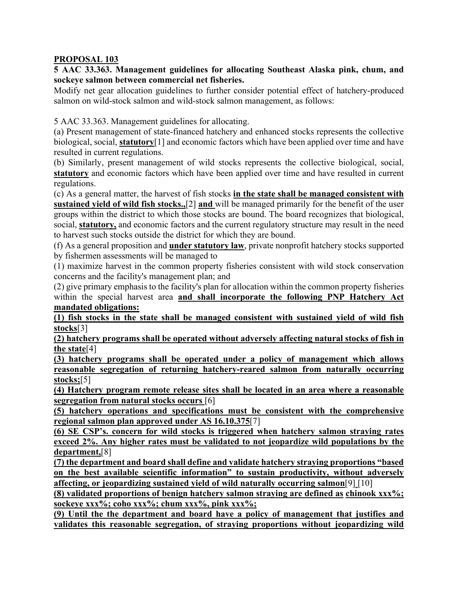## **PROPOSAL 103**

**5 AAC 33.363. Management guidelines for allocating Southeast Alaska pink, chum, and sockeye salmon between commercial net fisheries.**

Modify net gear allocation guidelines to further consider potential effect of hatchery-produced salmon on wild-stock salmon and wild-stock salmon management, as follows:

5 AAC 33.363. Management guidelines for allocating.

(a) Present management of state-financed hatchery and enhanced stocks represents the collective biological, social, **statutory**[1] and economic factors which have been applied over time and have resulted in current regulations.

(b) Similarly, present management of wild stocks represents the collective biological, social, **statutory** and economic factors which have been applied over time and have resulted in current regulations.

(c) As a general matter, the harvest of fish stocks **in the state shall be managed consistent with sustained yield of wild fish stocks.,**[2] **and** will be managed primarily for the benefit of the user groups within the district to which those stocks are bound. The board recognizes that biological, social, **statutory,** and economic factors and the current regulatory structure may result in the need to harvest such stocks outside the district for which they are bound.

(f) As a general proposition and **under statutory law**, private nonprofit hatchery stocks supported by fishermen assessments will be managed to

(1) maximize harvest in the common property fisheries consistent with wild stock conservation concerns and the facility's management plan; and

(2) give primary emphasis to the facility's plan for allocation within the common property fisheries within the special harvest area **and shall incorporate the following PNP Hatchery Act mandated obligations:**

**(1) fish stocks in the state shall be managed consistent with sustained yield of wild fish stocks**[3]

**(2) hatchery programs shall be operated without adversely affecting natural stocks of fish in the state**[4]

**(3) hatchery programs shall be operated under a policy of management which allows reasonable segregation of returning hatchery-reared salmon from naturally occurring stocks;**[5]

**(4) Hatchery program remote release sites shall be located in an area where a reasonable segregation from natural stocks occurs** [6]

**(5) hatchery operations and specifications must be consistent with the comprehensive regional salmon plan approved under AS 16.10.375**[7]

**(6) SE CSP's. concern for wild stocks is triggered when hatchery salmon straying rates exceed 2%. Any higher rates must be validated to not jeopardize wild populations by the department,**[8]

**(7) the department and board shall define and validate hatchery straying proportions "based on the best available scientific information" to sustain productivity, without adversely affecting, or jeopardizing sustained yield of wild naturally occurring salmon**[9] [10]

**(8) validated proportions of benign hatchery salmon straying are defined as chinook xxx%; sockeye xxx%; coho xxx%; chum xxx%, pink xxx%;**

**(9) Until the the department and board have a policy of management that justifies and validates this reasonable segregation, of straying proportions without jeopardizing wild**